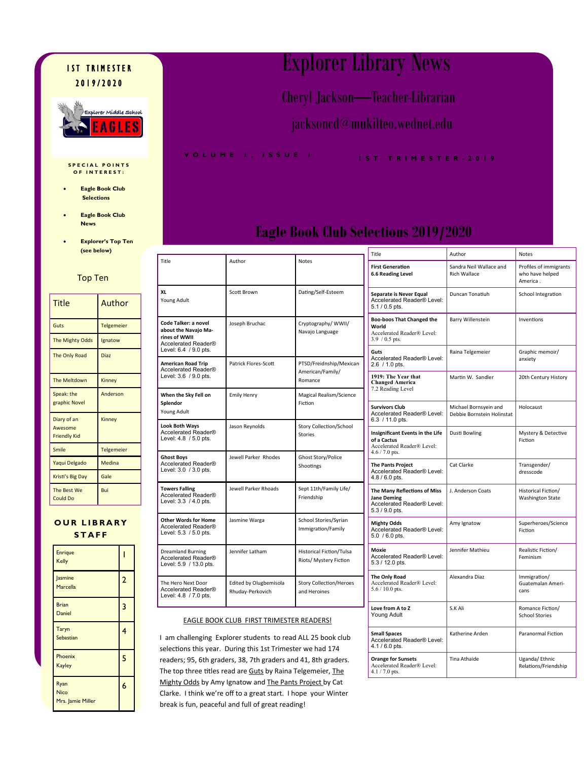#### **IST TRIMESTER** 2 0 1 9 / 2 0 2 0



#### **SPECIAL POINTS O F I N T E R E S T :**

- **Eagle Book Club Selections**
- **Eagle Book Club News**
- **Explorer's Top Ten**

Top Ten

#### Title Author Guts **Telgemeier** The Mighty Odds | Ignatow The Only Road Diaz The Meltdown Kinney Speak: the graphic Novel Anderson Diary of an Awesome Friendly Kid Kinney Smile Telgemeier Yaqui Delgado Medina Kristi's Big Day Gale The Best We Could Do Bui

#### **OUR LIBRARY S T A F F**

| <b>Enrique</b><br>Kelly                  |   |
|------------------------------------------|---|
| Jasmine<br><b>Marcella</b>               | 2 |
| <b>Brian</b><br><b>Daniel</b>            | 3 |
| Taryn<br>Sebastian                       | 4 |
| Phoenix<br><b>Kayley</b>                 | 5 |
| Ryan<br><b>Nico</b><br>Mrs. Jamie Miller | 6 |

## Explorer Library News

Cheryl Jackson—Teacher-Librarian

jacksoncd@mukilteo.wednet.edu

**V O L U M E 1 , I S S U E 1 1 S T T R I M E S T E R - 2 0 1 9** 

### **Eagle Book Club Selections 2019/2020**

|          | (see below)       |                                                                                |                                            |                                                           | Title                                                                                                                          | Author                                         | Notes                                |
|----------|-------------------|--------------------------------------------------------------------------------|--------------------------------------------|-----------------------------------------------------------|--------------------------------------------------------------------------------------------------------------------------------|------------------------------------------------|--------------------------------------|
| op Ten   |                   | Title                                                                          | Author                                     | <b>Notes</b>                                              | <b>First Generation</b><br><b>6.6 Reading Level</b>                                                                            | Sandra Neil Wallace and<br><b>Rich Wallace</b> | Profil<br>who ł<br>Amer              |
| Author   |                   | XL<br>Young Adult                                                              | Scott Brown                                | Dating/Self-Esteem                                        | Separate is Never Equal<br>Accelerated Reader® Level:<br>5.1 / 0.5 pts.                                                        | Duncan Tonatiuh                                | Schoc                                |
|          | <b>Telgemeier</b> | Code Talker: a novel<br>about the Navajo Ma-                                   | Joseph Bruchac                             | Cryptography/ WWII/<br>Navajo Language                    | <b>Boo-boos That Changed the</b><br>World<br>Accelerated Reader® Level:<br>$3.9 / 0.5$ pts.                                    | <b>Barry Willenstein</b><br>Raina Telgemeier   | Inven<br>Graph<br>anxie <sup>®</sup> |
| Odds     | Ignatow           | rines of WWII<br>Accelerated Reader®                                           |                                            |                                                           |                                                                                                                                |                                                |                                      |
| ad       | <b>Diaz</b>       | Level: 6.4 / 9.0 pts.<br><b>American Road Trip</b><br>Accelerated Reader®      | Patrick Flores-Scott                       | PTSD/Freidnship/Mexican                                   | Guts<br>Accelerated Reader® Level:<br>2.6 / 1.0 pts.                                                                           |                                                |                                      |
| wn       | Kinney            | Level: 3.6 / 9.0 pts.                                                          |                                            | American/Family/<br>Romance                               | 1919: The Year that<br><b>Changed America</b><br>7.2 Reading Level                                                             | Martin W. Sandler                              | 20th (                               |
| el       | Anderson          | When the Sky Fell on<br>Splendor<br>Young Adult                                | <b>Emily Henry</b>                         | Magical Realism/Science<br>Fiction                        | <b>Survivors Club</b>                                                                                                          | Michael Bornsyein and                          | Holoc                                |
|          | Kinney            | <b>Look Both Wavs</b><br>Accelerated Reader®<br>Level: 4.8 / 5.0 pts.          | Jason Reynolds                             | Story Collection/School<br>Stories                        | Accelerated Reader® Level:<br>6.3 / 11.0 pts.<br>Insignificant Events in the Life<br>of a Cactus<br>Accelerated Reader® Level: | Debbie Bornstein Holinstat<br>Dusti Bowling    | Myste<br>Fictio                      |
|          | Telgemeier        | <b>Ghost Boys</b>                                                              | Jewell Parker Rhodes                       | Ghost Story/Police                                        | 4.6 / 7.0 pts.                                                                                                                 |                                                |                                      |
| do<br>av | Medina<br>Gale    | Accelerated Reader®<br>Level: 3.0 / 3.0 pts.                                   | Shootings                                  |                                                           | <b>The Pants Project</b><br>Accelerated Reader® Level:<br>4.8 / 6.0 pts.                                                       | Cat Clarke                                     | Trans<br>dress                       |
|          | Bui               | <b>Towers Falling</b><br>Accelerated Reader®<br>Level: 3.3 / 4.0 pts.          | Jewell Parker Rhoads                       | Sept 11th/Family Life/<br>Friendship                      | The Many Reflections of Miss<br><b>Jane Deming</b><br>Accelerated Reader® Level:<br>5.3 / 9.0 pts.                             | J. Anderson Coats                              | Histor<br>Wash                       |
| TAFF     | <b>LIBRARY</b>    | <b>Other Words for Home</b><br>Accelerated Reader®<br>Level: 5.3 / 5.0 pts.    | Jasmine Warga                              | School Stories/Syrian<br>Immigration/Family               | <b>Mighty Odds</b><br>Accelerated Reader® Level:<br>5.0 / 6.0 pts.                                                             | Amy Ignatow                                    | Super<br>Fictio                      |
|          |                   | <b>Dreamland Burning</b><br>Accelerated Reader®<br>Level: 5.9 / 13.0 pts.      | Jennifer Latham                            | <b>Historical Fiction/Tulsa</b><br>Riots/ Mystery Fiction | Moxie<br>Accelerated Reader® Level:<br>5.3 / 12.0 pts.                                                                         | Jennifer Mathieu                               | Realis<br>Femir                      |
|          | 2                 | The Hero Next Door<br>Accelerated Reader <sup>®</sup><br>Level: 4.8 / 7.0 pts. | Edited by Olugbemisola<br>Rhuday-Perkovich | <b>Story Collection/Heroes</b><br>and Heroines            | The Only Road<br>Accelerated Reader® Level:<br>$5.6 / 10.0$ pts.                                                               | Alexandra Diaz                                 | Immig<br>Guate<br>cans               |
|          | 3                 |                                                                                |                                            |                                                           | Love from A to Z<br>Young Adult                                                                                                | S.K Ali                                        | Roma<br>Schoc                        |

#### EAGLE BOOK CLUB FIRST TRIMESTER READERS!

I am challenging Explorer students to read ALL 25 book club selections this year. During this 1st Trimester we had 174 readers; 95, 6th graders, 38, 7th graders and 41, 8th graders. The top three titles read are Guts by Raina Telgemeier, The Mighty Odds by Amy Ignatow and The Pants Project by Cat Clarke. I think we're off to a great start. I hope your Winter break is fun, peaceful and full of great reading!

| 5.1 / 0.5 pts.                                                                                    |                                                     |                                           |
|---------------------------------------------------------------------------------------------------|-----------------------------------------------------|-------------------------------------------|
| <b>Boo-boos That Changed the</b><br>World<br>Accelerated Reader® Level:<br>$3.9 / 0.5$ pts.       | Barry Willenstein                                   | Inventions                                |
| Guts<br>Accelerated Reader® Level:<br>2.6 / 1.0 pts.                                              | Raina Telgemeier                                    | Graphic memoir/<br>anxiety                |
| 1919: The Year that<br><b>Changed America</b><br>7.2 Reading Level                                | Martin W. Sandler                                   | 20th Century History                      |
| <b>Survivors Club</b><br>Accelerated Reader® Level:<br>6.3 / 11.0 pts.                            | Michael Bornsyein and<br>Debbie Bornstein Holinstat | Holocaust                                 |
| Insignificant Events in the Life<br>of a Cactus<br>Accelerated Reader® Level:<br>$4.6 / 7.0$ pts. | Dusti Bowling                                       | Mystery & Detective<br>Fiction            |
| <b>The Pants Project</b><br>Accelerated Reader® Level:<br>4.8 / 6.0 pts.                          | Cat Clarke                                          | Transgender/<br>dresscode                 |
| The Many Reflections of Miss<br>Jane Deming<br>Accelerated Reader® Level:<br>5.3 / 9.0 pts.       | J. Anderson Coats                                   | Historical Fiction/<br>Washington State   |
| <b>Mighty Odds</b><br>Accelerated Reader® Level:<br>5.0 / 6.0 pts.                                | Amy Ignatow                                         | Superheroes/Science<br>Fiction            |
| Moxie<br>Accelerated Reader® Level:<br>5.3 / 12.0 pts.                                            | Jennifer Mathieu                                    | Realistic Fiction/<br>Feminism            |
| The Only Road<br>Accelerated Reader® Level:<br>$5.6 / 10.0$ pts.                                  | Alexandra Diaz                                      | Immigration/<br>Guatemalan Ameri-<br>cans |
| Love from A to Z<br>Young Adult                                                                   | S.K Ali                                             | Romance Fiction/<br><b>School Stories</b> |
| <b>Small Spaces</b><br>Accelerated Reader® Level:<br>4.1 / 6.0 pts.                               | Katherine Arden                                     | <b>Paranormal Fiction</b>                 |
| <b>Orange for Sunsets</b><br>Accelerated Reader® Level:<br>$4.1 / 7.0$ pts.                       | Tina Athaide                                        | Uganda/ Ethnic<br>Relations/Friendship    |
|                                                                                                   |                                                     |                                           |

Profiles of immigrants who have helped America .

School Integration